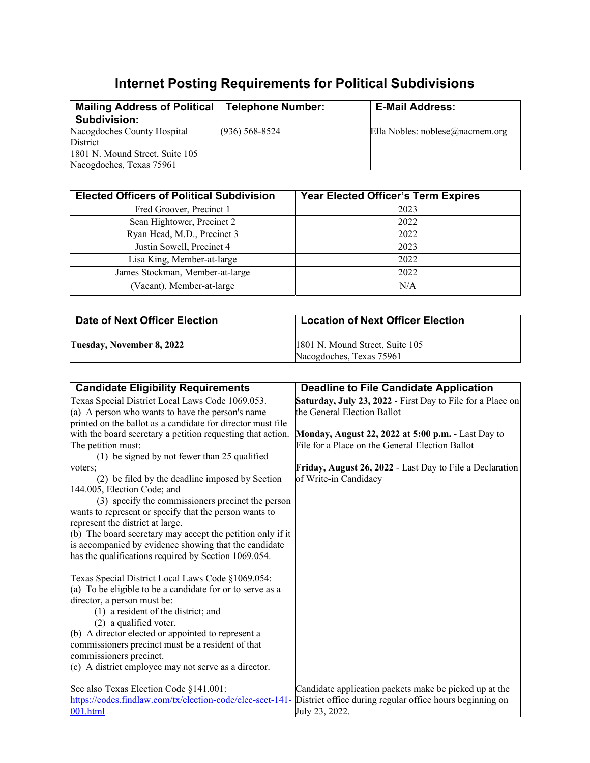## **Internet Posting Requirements for Political Subdivisions**

| <b>Mailing Address of Political</b><br><b>Subdivision:</b>  | <b>Telephone Number:</b> | <b>E-Mail Address:</b>          |
|-------------------------------------------------------------|--------------------------|---------------------------------|
| Nacogdoches County Hospital<br>District                     | $(936) 568 - 8524$       | Ella Nobles: noblese@nacmem.org |
| 1801 N. Mound Street, Suite 105<br>Nacogdoches, Texas 75961 |                          |                                 |

| <b>Elected Officers of Political Subdivision</b> | Year Elected Officer's Term Expires |
|--------------------------------------------------|-------------------------------------|
| Fred Groover, Precinct 1                         | 2023                                |
| Sean Hightower, Precinct 2                       | 2022                                |
| Ryan Head, M.D., Precinct 3                      | 2022                                |
| Justin Sowell, Precinct 4                        | 2023                                |
| Lisa King, Member-at-large                       | 2022                                |
| James Stockman, Member-at-large                  | 2022                                |
| (Vacant), Member-at-large                        | N/A                                 |

| Date of Next Officer Election | <b>Location of Next Officer Election</b>                    |
|-------------------------------|-------------------------------------------------------------|
| Tuesday, November 8, 2022     | 1801 N. Mound Street, Suite 105<br>Nacogdoches, Texas 75961 |

| <b>Candidate Eligibility Requirements</b>                                                                          | <b>Deadline to File Candidate Application</b>              |
|--------------------------------------------------------------------------------------------------------------------|------------------------------------------------------------|
| Texas Special District Local Laws Code 1069.053.                                                                   | Saturday, July 23, 2022 - First Day to File for a Place on |
| (a) A person who wants to have the person's name                                                                   | the General Election Ballot                                |
| printed on the ballot as a candidate for director must file                                                        |                                                            |
| with the board secretary a petition requesting that action.                                                        | Monday, August 22, 2022 at 5:00 p.m. - Last Day to         |
| The petition must:                                                                                                 | File for a Place on the General Election Ballot            |
| (1) be signed by not fewer than 25 qualified                                                                       |                                                            |
| voters;                                                                                                            | Friday, August 26, 2022 - Last Day to File a Declaration   |
| (2) be filed by the deadline imposed by Section                                                                    | of Write-in Candidacy                                      |
| 144.005, Election Code; and                                                                                        |                                                            |
| (3) specify the commissioners precinct the person                                                                  |                                                            |
| wants to represent or specify that the person wants to                                                             |                                                            |
| represent the district at large.                                                                                   |                                                            |
| (b) The board secretary may accept the petition only if it                                                         |                                                            |
| is accompanied by evidence showing that the candidate                                                              |                                                            |
| has the qualifications required by Section 1069.054.                                                               |                                                            |
| Texas Special District Local Laws Code §1069.054:                                                                  |                                                            |
| (a) To be eligible to be a candidate for or to serve as a                                                          |                                                            |
| director, a person must be:                                                                                        |                                                            |
| (1) a resident of the district; and                                                                                |                                                            |
| (2) a qualified voter.                                                                                             |                                                            |
| (b) A director elected or appointed to represent a                                                                 |                                                            |
| commissioners precinct must be a resident of that                                                                  |                                                            |
| commissioners precinct.                                                                                            |                                                            |
| (c) A district employee may not serve as a director.                                                               |                                                            |
| See also Texas Election Code §141.001:                                                                             | Candidate application packets make be picked up at the     |
| https://codes.findlaw.com/tx/election-code/elec-sect-141- District office during regular office hours beginning on |                                                            |
| 001.html                                                                                                           | July 23, 2022.                                             |